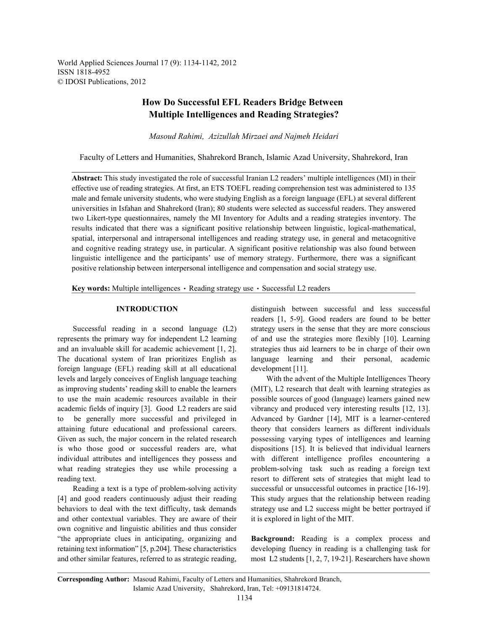World Applied Sciences Journal 17 (9): 1134-1142, 2012 ISSN 1818-4952 © IDOSI Publications, 2012

# **How Do Successful EFL Readers Bridge Between Multiple Intelligences and Reading Strategies?**

*Masoud Rahimi, Azizullah Mirzaei and Najmeh Heidari*

Faculty of Letters and Humanities, Shahrekord Branch, Islamic Azad University, Shahrekord, Iran

**Abstract:** This study investigated the role of successful Iranian L2 readers' multiple intelligences (MI) in their effective use of reading strategies. At first, an ETS TOEFL reading comprehension test was administered to 135 male and female university students, who were studying English as a foreign language (EFL) at several different universities in Isfahan and Shahrekord (Iran); 80 students were selected as successful readers. They answered two Likert-type questionnaires, namely the MI Inventory for Adults and a reading strategies inventory. The results indicated that there was a significant positive relationship between linguistic, logical-mathematical, spatial, interpersonal and intrapersonal intelligences and reading strategy use, in general and metacognitive and cognitive reading strategy use, in particular. A significant positive relationship was also found between linguistic intelligence and the participants' use of memory strategy. Furthermore, there was a significant positive relationship between interpersonal intelligence and compensation and social strategy use.

Key words: Multiple intelligences · Reading strategy use · Successful L2 readers

represents the primary way for independent L2 learning of and use the strategies more flexibly [10]. Learning and an invaluable skill for academic achievement [1, 2]. strategies thus aid learners to be in charge of their own The ducational system of Iran prioritizes English as language learning and their personal, academic foreign language (EFL) reading skill at all educational development [11]. levels and largely conceives of English language teaching With the advent of the Multiple Intelligences Theory as improving students' reading skill to enable the learners (MIT), L2 research that dealt with learning strategies as to use the main academic resources available in their possible sources of good (language) learners gained new academic fields of inquiry [3]. Good L2 readers are said vibrancy and produced very interesting results [12, 13]. to be generally more successful and privileged in Advanced by Gardner [14], MIT is a learner-centered attaining future educational and professional careers. theory that considers learners as different individuals Given as such, the major concern in the related research possessing varying types of intelligences and learning is who those good or successful readers are, what dispositions [15]. It is believed that individual learners individual attributes and intelligences they possess and with different intelligence profiles encountering a what reading strategies they use while processing a problem-solving task such as reading a foreign text reading text. The resort to different sets of strategies that might lead to

[4] and good readers continuously adjust their reading This study argues that the relationship between reading and other contextual variables. They are aware of their it is explored in light of the MIT. own cognitive and linguistic abilities and thus consider "the appropriate clues in anticipating, organizing and **Background:** Reading is a complex process and retaining text information" [5, p.204]. These characteristics developing fluency in reading is a challenging task for and other similar features, referred to as strategic reading, most L2 students [1, 2, 7, 19-21]. Researchers have shown

**INTRODUCTION** distinguish between successful and less successful Successful reading in a second language (L2) strategy users in the sense that they are more conscious readers [1, 5-9]. Good readers are found to be better

Reading a text is a type of problem-solving activity successful or unsuccessful outcomes in practice [16-19]. behaviors to deal with the text difficulty, task demands strategy use and L2 success might be better portrayed if

**Corresponding Author:** Masoud Rahimi, Faculty of Letters and Humanities, Shahrekord Branch, Islamic Azad University, Shahrekord, Iran, Tel: +09131814724.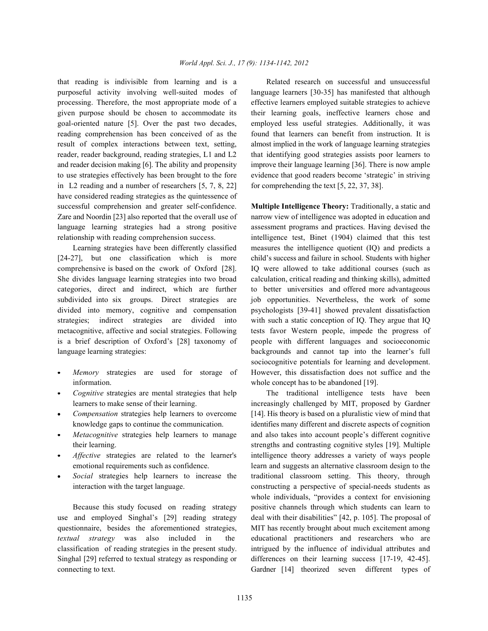purposeful activity involving well-suited modes of language learners [30-35] has manifested that although processing. Therefore, the most appropriate mode of a effective learners employed suitable strategies to achieve given purpose should be chosen to accommodate its their learning goals, ineffective learners chose and goal-oriented nature [5]. Over the past two decades, employed less useful strategies. Additionally, it was reading comprehension has been conceived of as the found that learners can benefit from instruction. It is result of complex interactions between text, setting, almost implied in the work of language learning strategies reader, reader background, reading strategies, L1 and L2 that identifying good strategies assists poor learners to and reader decision making [6]. The ability and propensity improve their language learning [36]. There is now ample to use strategies effectively has been brought to the fore evidence that good readers become 'strategic' in striving in L2 reading and a number of researchers  $[5, 7, 8, 22]$  for comprehending the text  $[5, 22, 37, 38]$ . have considered reading strategies as the quintessence of successful comprehension and greater self-confidence. **Multiple Intelligence Theory:** Traditionally, a static and Zare and Noordin [23] also reported that the overall use of narrow view of intelligence was adopted in education and language learning strategies had a strong positive assessment programs and practices. Having devised the relationship with reading comprehension success. intelligence test, Binet (1904) claimed that this test

[24-27], but one classification which is more child's success and failure in school. Students with higher comprehensive is based on the cwork of Oxford [28]. IQ were allowed to take additional courses (such as She divides language learning strategies into two broad calculation, critical reading and thinking skills), admitted categories, direct and indirect, which are further to better universities and offered more advantageous subdivided into six groups. Direct strategies are job opportunities. Nevertheless, the work of some divided into memory, cognitive and compensation psychologists [39-41] showed prevalent dissatisfaction strategies; indirect strategies are divided into with such a static conception of IQ. They argue that IQ metacognitive, affective and social strategies. Following tests favor Western people, impede the progress of is a brief description of Oxford's [28] taxonomy of people with different languages and socioeconomic language learning strategies: backgrounds and cannot tap into the learner's full

- information. whole concept has to be abandoned [19].
- 
- 
- 
- 
- 

questionnaire, besides the aforementioned strategies, MIT has recently brought about much excitement among *textual strategy* was also included in the educational practitioners and researchers who are classification of reading strategies in the present study. intrigued by the influence of individual attributes and Singhal [29] referred to textual strategy as responding or differences on their learning success [17-19, 42-45]. connecting to text. Gardner [14] theorized seven different types of

that reading is indivisible from learning and is a Related research on successful and unsuccessful

Learning strategies have been differently classified measures the intelligence quotient (IQ) and predicts a *Memory* strategies are used for storage of However, this dissatisfaction does not suffice and the sociocognitive potentials for learning and development.

*Cognitive* strategies are mental strategies that help The traditional intelligence tests have been learners to make sense of their learning. increasingly challenged by MIT, proposed by Gardner *Compensation* strategies help learners to overcome [14]. His theory is based on a pluralistic view of mind that knowledge gaps to continue the communication. identifies many different and discrete aspects of cognition *Metacognitive* strategies help learners to manage and also takes into account people's different cognitive their learning. Strengths and contrasting cognitive styles [19]. Multiple *Affective* strategies are related to the learner's intelligence theory addresses a variety of ways people emotional requirements such as confidence. learn and suggests an alternative classroom design to the *Social* strategies help learners to increase the traditional classroom setting. This theory, through interaction with the target language. constructing a perspective of special-needs students as Because this study focused on reading strategy positive channels through which students can learn to use and employed Singhal's [29] reading strategy deal with their disabilities" [42, p. 105]. The proposal of whole individuals, "provides a context for envisioning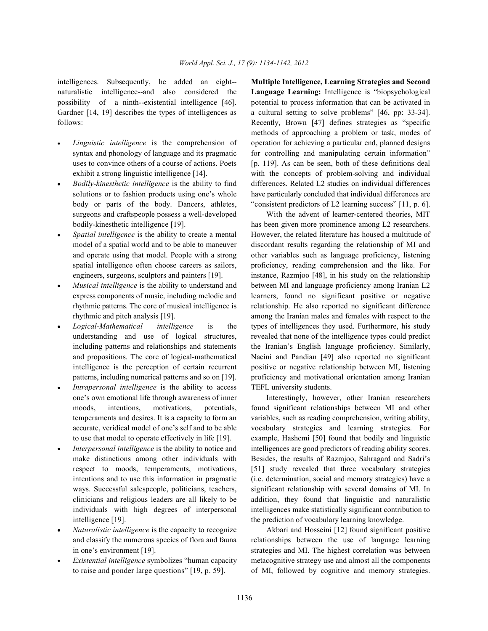Gardner [14, 19] describes the types of intelligences as a cultural setting to solve problems" [46, pp: 33-34].

- 
- surgeons and craftspeople possess a well-developed With the advent of learner-centered theories, MIT
- 
- 
- 
- *Intrapersonal intelligence* is the ability to access TEFL university students.
- intelligence [19]. the prediction of vocabulary learning knowledge.
- 
- 

intelligences. Subsequently, he added an eight-- **Multiple Intelligence, Learning Strategies and Second** naturalistic intelligence--and also considered the **Language Learning:** Intelligence is "biopsychological possibility of a ninth--existential intelligence [46]. potential to process information that can be activated in follows: Recently, Brown [47] defines strategies as "specific *Linguistic intelligence* is the comprehension of operation for achieving a particular end, planned designs syntax and phonology of language and its pragmatic for controlling and manipulating certain information" uses to convince others of a course of actions. Poets [p. 119]. As can be seen, both of these definitions deal exhibit a strong linguistic intelligence [14]. with the concepts of problem-solving and individual *Bodily-kinesthetic intelligence* is the ability to find differences. Related L2 studies on individual differences solutions or to fashion products using one's whole have particularly concluded that individual differences are body or parts of the body. Dancers, athletes, "consistent predictors of L2 learning success" [11, p. 6]. methods of approaching a problem or task, modes of

bodily-kinesthetic intelligence [19]. has been given more prominence among L2 researchers. *Spatial intelligence* is the ability to create a mental However, the related literature has housed a multitude of model of a spatial world and to be able to maneuver discordant results regarding the relationship of MI and and operate using that model. People with a strong other variables such as language proficiency, listening spatial intelligence often choose careers as sailors, proficiency, reading comprehension and the like. For engineers, surgeons, sculptors and painters [19]. instance, Razmjoo [48], in his study on the relationship *Musical intelligence* is the ability to understand and between MI and language proficiency among Iranian L2 express components of music, including melodic and learners, found no significant positive or negative rhythmic patterns. The core of musical intelligence is relationship. He also reported no significant difference rhythmic and pitch analysis [19]. among the Iranian males and females with respect to the *Logical-Mathematical intelligence* is the types of intelligences they used. Furthermore, his study understanding and use of logical structures, revealed that none of the intelligence types could predict including patterns and relationships and statements the Iranian's English language proficiency. Similarly, and propositions. The core of logical-mathematical Naeini and Pandian [49] also reported no significant intelligence is the perception of certain recurrent positive or negative relationship between MI, listening patterns, including numerical patterns and so on [19]. proficiency and motivational orientation among Iranian

one's own emotional life through awareness of inner Interestingly, however, other Iranian researchers moods, intentions, motivations, potentials, found significant relationships between MI and other temperaments and desires. It is a capacity to form an variables, such as reading comprehension, writing ability, accurate, veridical model of one's self and to be able vocabulary strategies and learning strategies. For to use that model to operate effectively in life [19]. example, Hashemi [50] found that bodily and linguistic *Interpersonal intelligence* is the ability to notice and intelligences are good predictors of reading ability scores. make distinctions among other individuals with Besides, the results of Razmjoo, Sahragard and Sadri's respect to moods, temperaments, motivations, [51] study revealed that three vocabulary strategies intentions and to use this information in pragmatic (i.e. determination, social and memory strategies) have a ways. Successful salespeople, politicians, teachers, significant relationship with several domains of MI. In clinicians and religious leaders are all likely to be addition, they found that linguistic and naturalistic individuals with high degrees of interpersonal intelligences make statistically significant contribution to

*Naturalistic intelligence* is the capacity to recognize **Akbari** and Hosseini [12] found significant positive and classify the numerous species of flora and fauna relationships between the use of language learning in one's environment [19]. strategies and MI. The highest correlation was between *Existential intelligence* symbolizes "human capacity metacognitive strategy use and almost all the components to raise and ponder large questions" [19, p. 59]. of MI, followed by cognitive and memory strategies.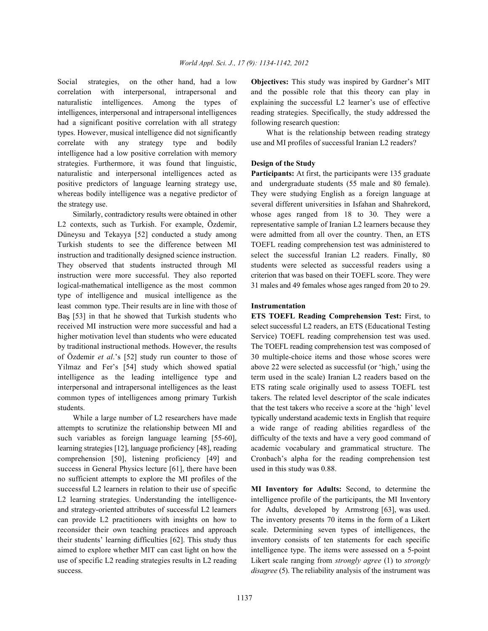correlation with interpersonal, intrapersonal and and the possible role that this theory can play in naturalistic intelligences. Among the types of explaining the successful L2 learner's use of effective intelligences, interpersonal and intrapersonal intelligences reading strategies. Specifically, the study addressed the had a significant positive correlation with all strategy following research question: types. However, musical intelligence did not significantly What is the relationship between reading strategy correlate with any strategy type and bodily use and MI profiles of successful Iranian L2 readers? intelligence had a low positive correlation with memory strategies. Furthermore, it was found that linguistic, **Design of the Study** naturalistic and interpersonal intelligences acted as **Participants:** At first, the participants were 135 graduate positive predictors of language learning strategy use, and undergraduate students (55 male and 80 female). whereas bodily intelligence was a negative predictor of They were studying English as a foreign language at the strategy use. several different universities in Isfahan and Shahrekord,

L2 contexts, such as Turkish. For example, Özdemir, representative sample of Iranian L2 learners because they Düneysu and Tekayya [52] conducted a study among were admitted from all over the country. Then, an ETS Turkish students to see the difference between MI TOEFL reading comprehension test was administered to instruction and traditionally designed science instruction. select the successful Iranian L2 readers. Finally, 80 They observed that students instructed through MI students were selected as successful readers using a instruction were more successful. They also reported criterion that was based on their TOEFL score. They were logical-mathematical intelligence as the most common 31 males and 49 females whose ages ranged from 20 to 29. type of intelligence and musical intelligence as the least common type. Their results are in line with those of **Instrumentation** Ba [53] in that he showed that Turkish students who **ETS TOEFL Reading Comprehension Test:** First, to received MI instruction were more successful and had a select successful L2 readers, an ETS (Educational Testing higher motivation level than students who were educated Service) TOEFL reading comprehension test was used. by traditional instructional methods. However, the results The TOEFL reading comprehension test was composed of of Özdemir *et al*.'s [52] study run counter to those of 30 multiple-choice items and those whose scores were Yilmaz and Fer's [54] study which showed spatial above 22 were selected as successful (or 'high,' using the intelligence as the leading intelligence type and term used in the scale) Iranian L2 readers based on the interpersonal and intrapersonal intelligences as the least ETS rating scale originally used to assess TOEFL test common types of intelligences among primary Turkish takers. The related level descriptor of the scale indicates students. that the test takers who receive a score at the 'high' level

attempts to scrutinize the relationship between MI and a wide range of reading abilities regardless of the such variables as foreign language learning [55-60], difficulty of the texts and have a very good command of learning strategies [12], language proficiency [48], reading academic vocabulary and grammatical structure. The comprehension [50], listening proficiency [49] and Cronbach's alpha for the reading comprehension test success in General Physics lecture [61], there have been used in this study was 0.88. no sufficient attempts to explore the MI profiles of the successful L2 learners in relation to their use of specific **MI Inventory for Adults:** Second, to determine the L2 learning strategies. Understanding the intelligence-<br>intelligence profile of the participants, the MI Inventory and strategy-oriented attributes of successful L2 learners for Adults, developed by Armstrong [63], was used. can provide L2 practitioners with insights on how to The inventory presents 70 items in the form of a Likert reconsider their own teaching practices and approach scale. Determining seven types of intelligences, the their students' learning difficulties [62]. This study thus inventory consists of ten statements for each specific aimed to explore whether MIT can cast light on how the intelligence type. The items were assessed on a 5-point use of specific L2 reading strategies results in L2 reading Likert scale ranging from *strongly agree* (1) to *strongly* success. *disagree* (5). The reliability analysis of the instrument was

Social strategies, on the other hand, had a low **Objectives:** This study was inspired by Gardner's MIT

Similarly, contradictory results were obtained in other whose ages ranged from 18 to 30. They were a

While a large number of L2 researchers have made typically understand academic texts in English that require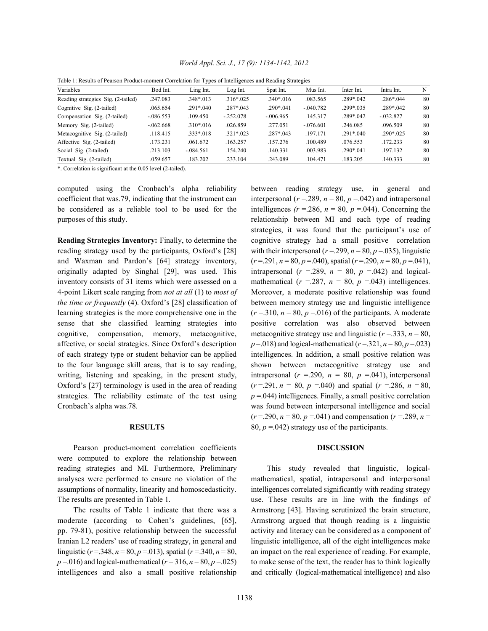| Table 1. Results of Fearson Frouder-moment Correlation for Types of intempences and Reading Strategies |              |             |               |               |             |               |               |    |  |
|--------------------------------------------------------------------------------------------------------|--------------|-------------|---------------|---------------|-------------|---------------|---------------|----|--|
| Variables                                                                                              | Bod Int.     | Ling Int.   | Log Int.      | Spat Int.     | Mus Int.    | Inter Int.    | Intra Int.    | N  |  |
| Reading strategies Sig. (2-tailed)                                                                     | .247.083     | .348*.013   | $.316*025$    | $.340*016$    | .083.565    | $.289*.042$   | $.286*044$    | 80 |  |
| Cognitive Sig. (2-tailed)                                                                              | .065.654     | $.291*040$  | $.287 * .043$ | $.290*041$    | $-0.40.782$ | $.299*.035$   | $.289 * .042$ | 80 |  |
| Compensation Sig. (2-tailed)                                                                           | $-0.086.553$ | .109.450    | $-.252.078$   | $-0.06965$    | .145.317    | $.289 * .042$ | $-0.032.827$  | 80 |  |
| Memory Sig. (2-tailed)                                                                                 | $-.062.668$  | $.310*016$  | .026.859      | .277.051      | $-.076.601$ | .246.085      | .096.509      | 80 |  |
| Metacognitive Sig. (2-tailed)                                                                          | .118.415     | $.333*018$  | $.321*023$    | $.287 * .043$ | .197.171    | $.291*040$    | $.290*.025$   | 80 |  |
| Affective Sig. (2-tailed)                                                                              | .173.231     | .061.672    | .163.257      | 157.276       | 100.489     | .076.553      | .172.233      | 80 |  |
| Social Sig. (2-tailed)                                                                                 | .213.103     | $-.084.561$ | .154.240      | .140.331      | .003.983    | $.290*041$    | .197.132      | 80 |  |
| Textual Sig. (2-tailed)                                                                                | .059.657     | .183.202    | .233.104      | .243.089      | .104.471    | .183.205      | .140.333      | 80 |  |

*World Appl. Sci. J., 17 (9): 1134-1142, 2012*

| Table 1: Results of Pearson Product-moment Correlation for Types of Intelligences and Reading Strategies |  |  |  |
|----------------------------------------------------------------------------------------------------------|--|--|--|
|----------------------------------------------------------------------------------------------------------|--|--|--|

\*. Correlation is significant at the 0.05 level (2-tailed).

computed using the Cronbach's alpha reliability between reading strategy use, in general and coefficient that was.79, indicating that the instrument can interpersonal  $(r = 289, n = 80, p = .042)$  and intrapersonal be considered as a reliable tool to be used for the intelligences  $(r = 286, n = 80, p = .044)$ . Concerning the purposes of this study. The relationship between MI and each type of reading

reading strategy used by the participants, Oxford's [28] with their interpersonal  $(r=299, n=80, p=035)$ , linguistic and Waxman and Pardon's [64] strategy inventory,  $(r=291, n=80, p=040)$ , spatial  $(r=290, n=80, p=041)$ , originally adapted by Singhal [29], was used. This intrapersonal  $(r = .289, n = .80, p = .042)$  and logicalinventory consists of 31 items which were assessed on a mathematical  $(r = .287, n = 80, p = .043)$  intelligences. 4-point Likert scale ranging from *not at all* (1) to *most of* Moreover, a moderate positive relationship was found *the time or frequently* (4). Oxford's [28] classification of between memory strategy use and linguistic intelligence learning strategies is the more comprehensive one in the  $(r=310, n=80, p=016)$  of the participants. A moderate sense that she classified learning strategies into positive correlation was also observed between cognitive, compensation, memory, metacognitive, metacognitive strategy use and linguistic  $(r = .333, n = 80, ...)$ affective, or social strategies. Since Oxford's description  $p = .018$ ) and logical-mathematical ( $r = .321$ ,  $n = 80$ ,  $p = .023$ ) of each strategy type or student behavior can be applied intelligences. In addition, a small positive relation was to the four language skill areas, that is to say reading, shown between metacognitive strategy use and writing, listening and speaking, in the present study, intrapersonal  $(r = .290, n = .80, p = .041)$ , interpersonal Oxford's [27] terminology is used in the area of reading  $(r=291, n=80, p=0.040)$  and spatial  $(r=286, n=80, p=0.040)$ strategies. The reliability estimate of the test using  $p = .044$ ) intelligences. Finally, a small positive correlation Cronbach's alpha was.78. was found between interpersonal intelligence and social

Pearson product-moment correlation coefficients **DISCUSSION** were computed to explore the relationship between reading strategies and MI. Furthermore, Preliminary This study revealed that linguistic, logicalanalyses were performed to ensure no violation of the mathematical, spatial, intrapersonal and interpersonal assumptions of normality, linearity and homoscedasticity. intelligences correlated significantly with reading strategy The results are presented in Table 1. use. These results are in line with the findings of

moderate (according to Cohen's guidelines, [65], Armstrong argued that though reading is a linguistic pp. 79-81), positive relationship between the successful activity and literacy can be considered as a component of Iranian L2 readers' use of reading strategy, in general and linguistic intelligence, all of the eight intelligences make linguistic  $(r = .348, n = 80, p = .013)$ , spatial  $(r = .340, n = 80,$  an impact on the real experience of reading. For example,  $p = 0.016$ ) and logical-mathematical ( $r = 316$ ,  $n = 80$ ,  $p = .025$ ) to make sense of the text, the reader has to think logically intelligences and also a small positive relationship and critically (logical-mathematical intelligence) and also

**Reading Strategies Inventory:** Finally, to determine the cognitive strategy had a small positive correlation **RESULTS** 80,  $p = .042$  strategy use of the participants. strategies, it was found that the participant's use of  $(r = .290, n = 80, p = .041)$  and compensation  $(r = .289, n = .041)$ 

The results of Table 1 indicate that there was a Armstrong [43]. Having scrutinized the brain structure,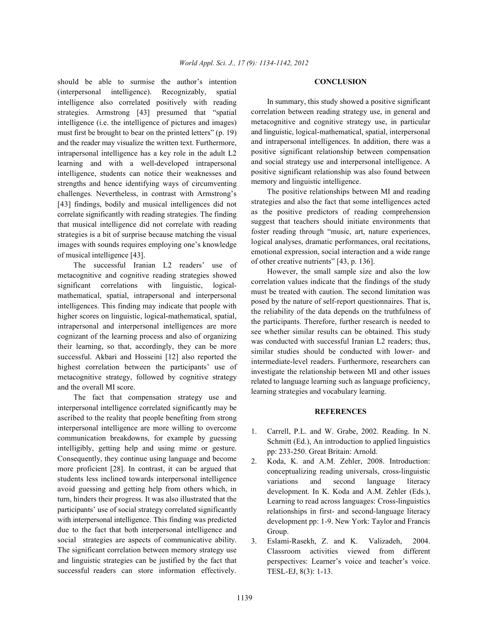should be able to surmise the author's intention **CONCLUSION** (interpersonal intelligence). Recognizably, spatial intelligence also correlated positively with reading strategies. Armstrong [43] presumed that "spatial intelligence (i.e. the intelligence of pictures and images) must first be brought to bear on the printed letters" (p. 19) and the reader may visualize the written text. Furthermore, intrapersonal intelligence has a key role in the adult L2 learning and with a well-developed intrapersonal intelligence, students can notice their weaknesses and strengths and hence identifying ways of circumventing challenges. Nevertheless, in contrast with Armstrong's [43] findings, bodily and musical intelligences did not correlate significantly with reading strategies. The finding that musical intelligence did not correlate with reading strategies is a bit of surprise because matching the visual images with sounds requires employing one's knowledge of musical intelligence [43].

The successful Iranian L2 readers' use of metacognitive and cognitive reading strategies showed significant correlations with linguistic, logicalmathematical, spatial, intrapersonal and interpersonal intelligences. This finding may indicate that people with higher scores on linguistic, logical-mathematical, spatial, intrapersonal and interpersonal intelligences are more cognizant of the learning process and also of organizing their learning, so that, accordingly, they can be more successful. Akbari and Hosseini [12] also reported the highest correlation between the participants' use of metacognitive strategy, followed by cognitive strategy and the overall MI score.

The fact that compensation strategy use and interpersonal intelligence correlated significantly may be ascribed to the reality that people benefiting from strong interpersonal intelligence are more willing to overcome communication breakdowns, for example by guessing intelligibly, getting help and using mime or gesture. Consequently, they continue using language and become more proficient [28]. In contrast, it can be argued that students less inclined towards interpersonal intelligence avoid guessing and getting help from others which, in turn, hinders their progress. It was also illustrated that the participants' use of social strategy correlated significantly with interpersonal intelligence. This finding was predicted due to the fact that both interpersonal intelligence and social strategies are aspects of communicative ability. The significant correlation between memory strategy use and linguistic strategies can be justified by the fact that successful readers can store information effectively.

In summary, this study showed a positive significant correlation between reading strategy use, in general and metacognitive and cognitive strategy use, in particular and linguistic, logical-mathematical, spatial, interpersonal and intrapersonal intelligences. In addition, there was a positive significant relationship between compensation and social strategy use and interpersonal intelligence. A positive significant relationship was also found between memory and linguistic intelligence.

The positive relationships between MI and reading strategies and also the fact that some intelligences acted as the positive predictors of reading comprehension suggest that teachers should initiate environments that foster reading through "music, art, nature experiences, logical analyses, dramatic performances, oral recitations, emotional expression, social interaction and a wide range of other creative nutrients" [43, p. 136].

However, the small sample size and also the low correlation values indicate that the findings of the study must be treated with caution. The second limitation was posed by the nature of self-report questionnaires. That is, the reliability of the data depends on the truthfulness of the participants. Therefore, further research is needed to see whether similar results can be obtained. This study was conducted with successful Iranian L2 readers; thus, similar studies should be conducted with lower- and intermediate-level readers. Furthermore, researchers can investigate the relationship between MI and other issues related to language learning such as language proficiency, learning strategies and vocabulary learning.

## **REFERENCES**

- 1. Carrell, P.L. and W. Grabe, 2002. Reading. In N. Schmitt (Ed.), An introduction to applied linguistics pp: 233-250. Great Britain: Arnold.
- 2. Koda, K. and A.M. Zehler, 2008. Introduction: conceptualizing reading universals, cross-linguistic variations and second language literacy development. In K. Koda and A.M. Zehler (Eds.), Learning to read across languages: Cross-linguistics relationships in first- and second-language literacy development pp: 1-9. New York: Taylor and Francis Group.
- 3. Eslami-Rasekh, Z. and K. Valizadeh, 2004. Classroom activities viewed from different perspectives: Learner's voice and teacher's voice. TESL-EJ, 8(3): 1-13.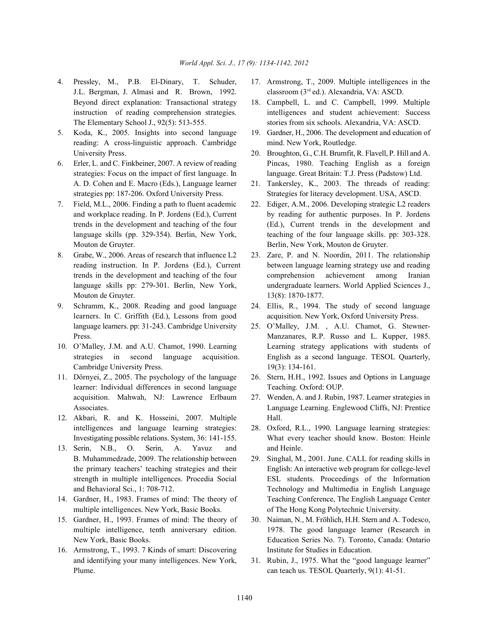- 4. Pressley, M., P.B. El-Dinary, T. Schuder, 17. Armstrong, T., 2009. Multiple intelligences in the J.L. Bergman, J. Almasi and R. Brown, 1992. Beyond direct explanation: Transactional strategy 18. Campbell, L. and C. Campbell, 1999. Multiple
- 5. Koda, K., 2005. Insights into second language 19. Gardner, H., 2006. The development and education of reading: A cross-linguistic approach. Cambridge mind. New York, Routledge. University Press. 20. Broughton, G., C.H. Brumfit, R. Flavell, P. Hill and A.
- A. D. Cohen and E. Macro (Eds.), Language learner 21. Tankersley, K., 2003. The threads of reading:
- 7. Field, M.L., 2006. Finding a path to fluent academic 22. Ediger, A.M., 2006. Developing strategic L2 readers Mouton de Gruyter. Berlin, New York, Mouton de Gruyter.
- Mouton de Gruyter. 13(8): 1870-1877.
- 9. Schramm, K., 2008. Reading and good language 24. Ellis, R., 1994. The study of second language language learners. pp: 31-243. Cambridge University 25. O'Malley, J.M. , A.U. Chamot, G. Stewner-
- Cambridge University Press. 19(3): 134-161.
- 11. Dörnyei, Z., 2005. The psychology of the language 26. Stern, H.H., 1992. Issues and Options in Language learner: Individual differences in second language Teaching. Oxford: OUP. acquisition. Mahwah, NJ: Lawrence Erlbaum 27. Wenden, A. and J. Rubin, 1987. Learner strategies in
- 12. Akbari, R. and K. Hosseini, 2007. Multiple Hall. intelligences and language learning strategies: 28. Oxford, R.L., 1990. Language learning strategies:
- 13. Serin, N.B., O. Serin, A. Yavuz and and Heinle. B. Muhammedzade, 2009. The relationship between 29. Singhal, M., 2001. June. CALL for reading skills in
- multiple intelligences. New York, Basic Books. of The Hong Kong Polytechnic University.
- 
- 16. Armstrong, T., 1993. 7 Kinds of smart: Discovering Institute for Studies in Education. and identifying your many intelligences. New York, 31. Rubin, J., 1975. What the "good language learner" Plume. **can teach us. TESOL Quarterly, 9(1): 41-51.**
- classroom (3<sup>rd</sup> ed.). Alexandria, VA: ASCD.
- instruction of reading comprehension strategies. intelligences and student achievement: Success The Elementary School J., 92(5): 513-555. stories from six schools. Alexandria, VA: ASCD.
	-
- 6. Erler, L. and C. Finkbeiner, 2007. A review of reading Pincas, 1980. Teaching English as a foreign strategies: Focus on the impact of first language. In language. Great Britain: T.J. Press (Padstow) Ltd.
	- strategies pp: 187-206. Oxford University Press. Strategies for literacy development. USA, ASCD.
	- and workplace reading. In P. Jordens (Ed.), Current by reading for authentic purposes. In P. Jordens trends in the development and teaching of the four (Ed.), Current trends in the development and language skills (pp. 329-354). Berlin, New York, teaching of the four language skills. pp: 303-328.
- 8. Grabe, W., 2006. Areas of research that influence L2 23. Zare, P. and N. Noordin, 2011. The relationship reading instruction. In P. Jordens (Ed.), Current between language learning strategy use and reading trends in the development and teaching of the four comprehension achievement among Iranian language skills pp: 279-301. Berlin, New York, undergraduate learners. World Applied Sciences J.,
	- learners. In C. Griffith (Ed.), Lessons from good acquisition. New York, Oxford University Press.
- Press. Manzanares, R.P. Russo and L. Kupper, 1985. 10. O'Malley, J.M. and A.U. Chamot, 1990. Learning Learning strategy applications with students of strategies in second language acquisition. English as a second language. TESOL Quarterly,
	-
	- Associates. Language Learning. Englewood Cliffs, NJ: Prentice
	- Investigating possible relations. System, 36: 141-155. What every teacher should know. Boston: Heinle
- the primary teachers' teaching strategies and their English: An interactive web program for college-level strength in multiple intelligences. Procedia Social ESL students. Proceedings of the Information and Behavioral Sci., 1: 708-712. Technology and Multimedia in English Language 14. Gardner, H., 1983. Frames of mind: The theory of Teaching Conference, The English Language Center
- 15. Gardner, H., 1993. Frames of mind: The theory of 30. Naiman, N., M. Fröhlich, H.H. Stern and A. Todesco, multiple intelligence, tenth anniversary edition. 1978. The good language learner (Research in New York, Basic Books. Education Series No. 7). Toronto, Canada: Ontario
	-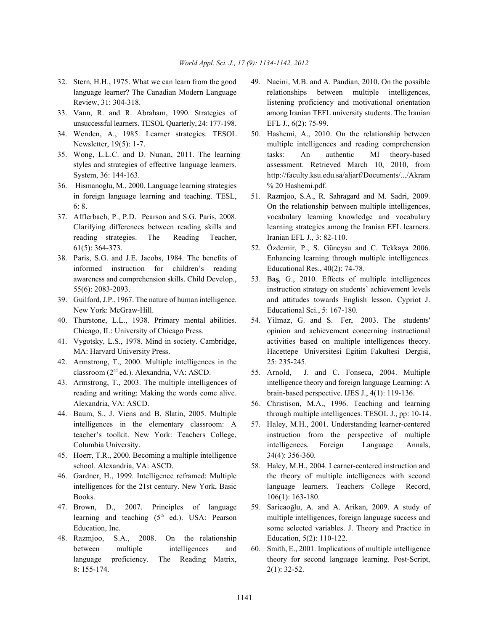- 
- unsuccessful learners. TESOL Quarterly, 24: 177-198. EFL J., 6(2): 75-99.
- 34. Wenden, A., 1985. Learner strategies. TESOL 50. Hashemi, A., 2010. On the relationship between
- 
- 36. Hismanoglu, M., 2000. Language learning strategies % 20 Hashemi.pdf. in foreign language learning and teaching. TESL, 51. Razmjoo, S.A., R. Sahragard and M. Sadri, 2009.
- reading strategies. The Reading Teacher, Iranian EFL J., 3: 82-110. 61(5): 364-373. 52. Özdemir, P., S. Güneysu and C. Tekkaya 2006.
- informed instruction for children's reading Educational Res., 40(2): 74-78. awareness and comprehension skills. Child Develop., 53. Baş, G., 2010. Effects of multiple intelligences
- New York: McGraw-Hill. Educational Sci., 5: 167-180.
- 
- 
- 42. Armstrong, T., 2000. Multiple intelligences in the 25: 235-245. classroom (2<sup>nd</sup> ed.). Alexandria, VA: ASCD. 55. Arnold, J. and C. Fonseca, 2004. Multiple
- reading and writing: Making the words come alive. brain-based perspective. IJES J., 4(1): 119-136. Alexandria, VA: ASCD. 56. Christison, M.A., 1996. Teaching and learning
- intelligences in the elementary classroom: A 57. Haley, M.H., 2001. Understanding learner-centered
- 45. Hoerr, T.R., 2000. Becoming a multiple intelligence 34(4): 356-360. school. Alexandria, VA: ASCD. 58. Haley, M.H., 2004. Learner-centered instruction and
- Books. 106(1): 163-180.
- 
- 48. Razmjoo, S.A., 2008. On the relationship Education, 5(2): 110-122. between multiple intelligences and 60. Smith, E., 2001. Implications of multiple intelligence 8: 155-174. 2(1): 32-52.
- 32. Stern, H.H., 1975. What we can learn from the good 49. Naeini, M.B. and A. Pandian, 2010. On the possible language learner? The Canadian Modern Language relationships between multiple intelligences, Review, 31: 304-318. listening proficiency and motivational orientation 33. Vann, R. and R. Abraham, 1990. Strategies of among Iranian TEFL university students. The Iranian
- Newsletter, 19(5): 1-7. multiple intelligences and reading comprehension 35. Wong, L.L.C. and D. Nunan, 2011. The learning tasks: An authentic MI theory-based styles and strategies of effective language learners. assessment. Retrieved March 10, 2010, from System, 36: 144-163. http://faculty.ksu.edu.sa/aljarf/Documents/.../Akram
- 6: 8. On the relationship between multiple intelligences, 37. Afflerbach, P., P.D. Pearson and S.G. Paris, 2008. vocabulary learning knowledge and vocabulary Clarifying differences between reading skills and learning strategies among the Iranian EFL learners.
- 38. Paris, S.G. and J.E. Jacobs, 1984. The benefits of Enhancing learning through multiple intelligences.
- 55(6): 2083-2093. instruction strategy on students' achievement levels 39. Guilford, J.P., 1967. The nature of human intelligence. and attitudes towards English lesson. Cypriot J.
- 40. Thurstone, L.L., 1938. Primary mental abilities. 54. Yilmaz, G. and S. Fer, 2003. The students' Chicago, IL: University of Chicago Press. opinion and achievement concerning instructional 41. Vygotsky, L.S., 1978. Mind in society. Cambridge, activities based on multiple intelligences theory. MA: Harvard University Press. Hacettepe Universitesi Egitim Fakultesi Dergisi,
- 43. Armstrong, T., 2003. The multiple intelligences of intelligence theory and foreign language Learning: A
- 44. Baum, S., J. Viens and B. Slatin, 2005. Multiple through multiple intelligences. TESOL J., pp: 10-14.
	- teacher's toolkit. New York: Teachers College, instruction from the perspective of multiple Columbia University. intelligences. Foreign Language Annals,
- 46. Gardner, H., 1999. Intelligence reframed: Multiple the theory of multiple intelligences with second intelligences for the 21st century. New York, Basic language learners. Teachers College Record,
- 47. Brown, D., 2007. Principles of language 59. Saricao glu, A. and A. Arikan, 2009. A study of learning and teaching  $(5<sup>th</sup>$  ed.). USA: Pearson multiple intelligences, foreign language success and Education, Inc. Some selected variables. J. Theory and Practice in
	- language proficiency. The Reading Matrix, theory for second language learning. Post-Script,